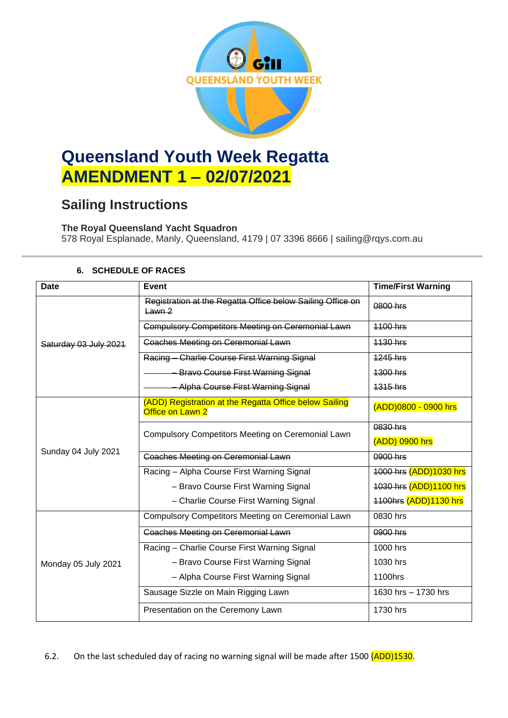

# **Queensland Youth Week Regatta AMENDMENT 1 – 02/07/2021**

## **Sailing Instructions**

### **The Royal Queensland Yacht Squadron**

578 Royal Esplanade, Manly, Queensland, 4179 | 07 3396 8666 | sailing@rqys.com.au

| <b>Date</b>           | <b>Event</b>                                                               | <b>Time/First Warning</b> |  |
|-----------------------|----------------------------------------------------------------------------|---------------------------|--|
| Saturday 03 July 2021 | Registration at the Regatta Office below Sailing Office on<br>$Lawn-2$     | 0800 hrs                  |  |
|                       | <b>Compulsory Competitors Meeting on Ceremonial Lawn</b>                   | <b>1100 hrs</b>           |  |
|                       | <b>Coaches Meeting on Ceremonial Lawn</b>                                  | 1130 hrs                  |  |
|                       | Racing Charlie Course First Warning Signal                                 | <b>1245 hrs</b>           |  |
|                       | <b>Bravo Course First Warning Signal</b>                                   | 1300 hrs                  |  |
|                       | <b>Alpha Course First Warning Signal</b>                                   | 1315 hrs                  |  |
| Sunday 04 July 2021   | (ADD) Registration at the Regatta Office below Sailing<br>Office on Lawn 2 | (ADD)0800 - 0900 hrs      |  |
|                       | Compulsory Competitors Meeting on Ceremonial Lawn                          | 0830 hrs                  |  |
|                       |                                                                            | (ADD) 0900 hrs            |  |
|                       | <b>Coaches Meeting on Ceremonial Lawn</b>                                  | 0900 hrs                  |  |
|                       | Racing - Alpha Course First Warning Signal                                 | 1000 hrs (ADD)1030 hrs    |  |
|                       | - Bravo Course First Warning Signal                                        | 1030 hrs (ADD)1100 hrs    |  |
|                       | - Charlie Course First Warning Signal                                      | 1100hrs (ADD)1130 hrs     |  |
| Monday 05 July 2021   | Compulsory Competitors Meeting on Ceremonial Lawn                          | 0830 hrs                  |  |
|                       | <b>Coaches Meeting on Ceremonial Lawn</b>                                  | 0900 hrs                  |  |
|                       | Racing - Charlie Course First Warning Signal                               | 1000 hrs                  |  |
|                       | - Bravo Course First Warning Signal                                        | 1030 hrs                  |  |
|                       | - Alpha Course First Warning Signal                                        | 1100hrs                   |  |
|                       | Sausage Sizzle on Main Rigging Lawn                                        | 1630 hrs - 1730 hrs       |  |
|                       | Presentation on the Ceremony Lawn                                          | 1730 hrs                  |  |

#### **6. SCHEDULE OF RACES**